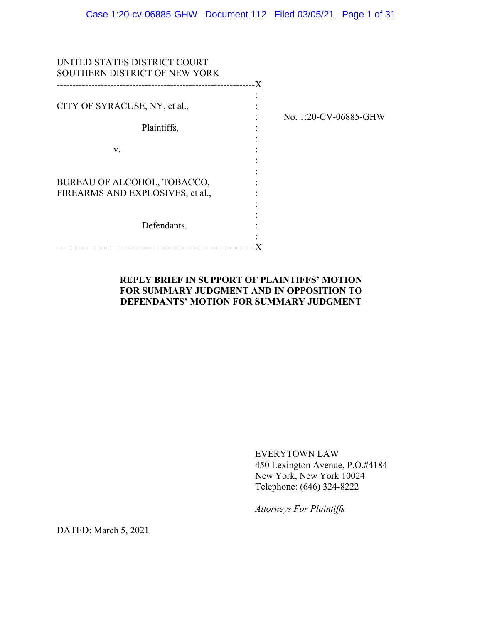| UNITED STATES DISTRICT COURT<br>SOUTHERN DISTRICT OF NEW YORK   |                       |
|-----------------------------------------------------------------|-----------------------|
| CITY OF SYRACUSE, NY, et al.,<br>Plaintiffs,                    | No. 1:20-CV-06885-GHW |
| V.                                                              |                       |
| BUREAU OF ALCOHOL, TOBACCO,<br>FIREARMS AND EXPLOSIVES, et al., |                       |
| Defendants.                                                     |                       |
|                                                                 |                       |

## **REPLY BRIEF IN SUPPORT OF PLAINTIFFS' MOTION FOR SUMMARY JUDGMENT AND IN OPPOSITION TO DEFENDANTS' MOTION FOR SUMMARY JUDGMENT**

EVERYTOWN LAW 450 Lexington Avenue, P.O.#4184 New York, New York 10024 Telephone: (646) 324-8222

*Attorneys For Plaintiffs*

DATED: March 5, 2021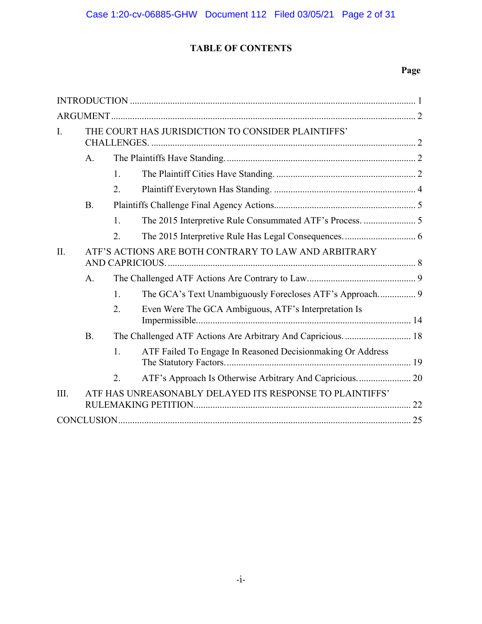# **TABLE OF CONTENTS**

## **Page**

| $\mathbf{I}$ . |                                                      | THE COURT HAS JURISDICTION TO CONSIDER PLAINTIFFS' |                                                            |  |  |
|----------------|------------------------------------------------------|----------------------------------------------------|------------------------------------------------------------|--|--|
|                | A.                                                   |                                                    |                                                            |  |  |
|                |                                                      | 1.                                                 |                                                            |  |  |
|                |                                                      | 2.                                                 |                                                            |  |  |
|                | <b>B.</b>                                            |                                                    |                                                            |  |  |
|                |                                                      | 1.                                                 | The 2015 Interpretive Rule Consummated ATF's Process.  5   |  |  |
|                |                                                      | 2.                                                 |                                                            |  |  |
| II.            | ATF'S ACTIONS ARE BOTH CONTRARY TO LAW AND ARBITRARY |                                                    |                                                            |  |  |
|                | A <sub>1</sub>                                       |                                                    |                                                            |  |  |
|                |                                                      | $\mathbf{1}$ .                                     |                                                            |  |  |
|                |                                                      | 2.                                                 | Even Were The GCA Ambiguous, ATF's Interpretation Is       |  |  |
|                | <b>B.</b>                                            |                                                    | The Challenged ATF Actions Are Arbitrary And Capricious 18 |  |  |
|                |                                                      | 1.                                                 | ATF Failed To Engage In Reasoned Decisionmaking Or Address |  |  |
|                |                                                      | 2.                                                 | ATF's Approach Is Otherwise Arbitrary And Capricious 20    |  |  |
| III.           |                                                      |                                                    | ATF HAS UNREASONABLY DELAYED ITS RESPONSE TO PLAINTIFFS'   |  |  |
|                |                                                      |                                                    |                                                            |  |  |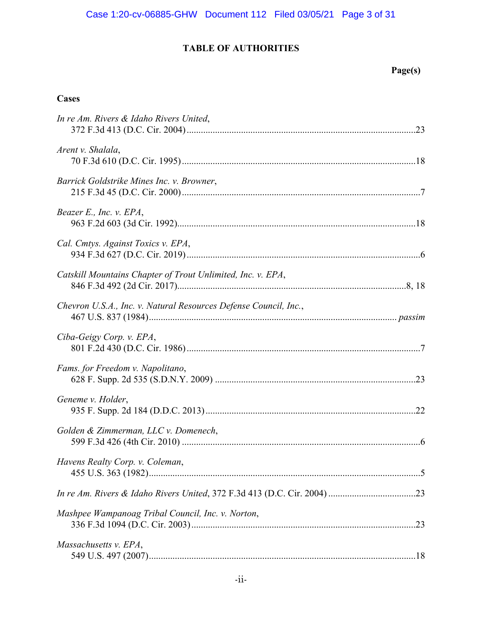# **TABLE OF AUTHORITIES**

# **Page(s)**

# **Cases**

| In re Am. Rivers & Idaho Rivers United,                          |
|------------------------------------------------------------------|
| Arent v. Shalala,                                                |
| Barrick Goldstrike Mines Inc. v. Browner,                        |
| Beazer E., Inc. v. EPA,                                          |
| Cal. Cmtys. Against Toxics v. EPA,                               |
| Catskill Mountains Chapter of Trout Unlimited, Inc. v. EPA,      |
| Chevron U.S.A., Inc. v. Natural Resources Defense Council, Inc., |
| Ciba-Geigy Corp. v. EPA,                                         |
| Fams. for Freedom v. Napolitano,                                 |
| Geneme v. Holder,                                                |
| Golden & Zimmerman, LLC v. Domenech,                             |
| Havens Realty Corp. v. Coleman,                                  |
|                                                                  |
| Mashpee Wampanoag Tribal Council, Inc. v. Norton,                |
| Massachusetts v. EPA,                                            |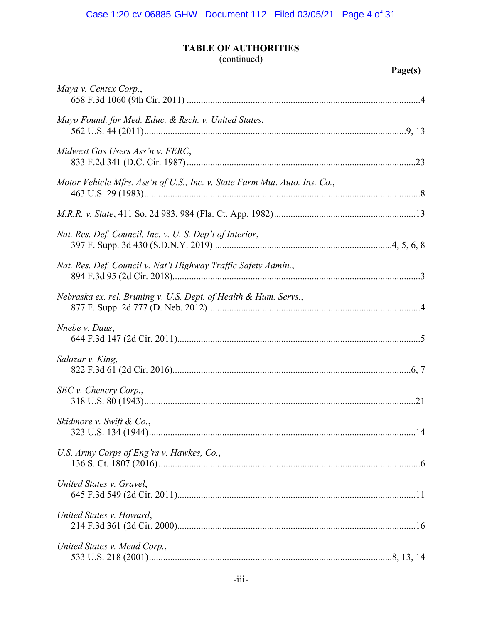## **TABLE OF AUTHORITIES**

# (continued)

| Maya v. Centex Corp.,                                                      |
|----------------------------------------------------------------------------|
| Mayo Found. for Med. Educ. & Rsch. v. United States,                       |
| Midwest Gas Users Ass'n v. FERC,                                           |
| Motor Vehicle Mfrs. Ass'n of U.S., Inc. v. State Farm Mut. Auto. Ins. Co., |
|                                                                            |
| Nat. Res. Def. Council, Inc. v. U. S. Dep't of Interior,                   |
| Nat. Res. Def. Council v. Nat'l Highway Traffic Safety Admin.,             |
| Nebraska ex. rel. Bruning v. U.S. Dept. of Health & Hum. Servs.,           |
| Nnebe v. Daus,                                                             |
| Salazar v. King,                                                           |
| SEC v. Chenery Corp.,                                                      |
| Skidmore v. Swift & Co.,                                                   |
| U.S. Army Corps of Eng'rs v. Hawkes, Co.,                                  |
| United States v. Gravel,                                                   |
| United States v. Howard,                                                   |
| United States v. Mead Corp.,                                               |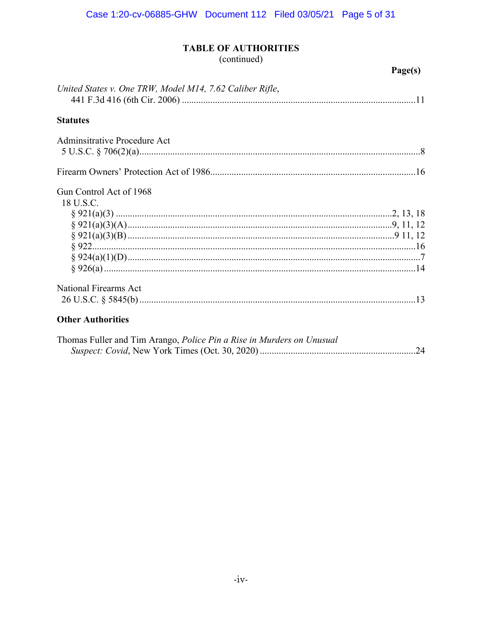# **TABLE OF AUTHORITIES**

(continued)

## Page(s)

| United States v. One TRW, Model M14, 7.62 Caliber Rifle, |  |
|----------------------------------------------------------|--|
| <b>Statutes</b>                                          |  |
| Adminsitrative Procedure Act                             |  |
|                                                          |  |
| Gun Control Act of 1968<br>18 U.S.C.                     |  |
| <b>National Firearms Act</b>                             |  |
| <b>Other Authorities</b>                                 |  |

| Thomas Fuller and Tim Arango, <i>Police Pin a Rise in Murders on Unusual</i> |  |
|------------------------------------------------------------------------------|--|
|                                                                              |  |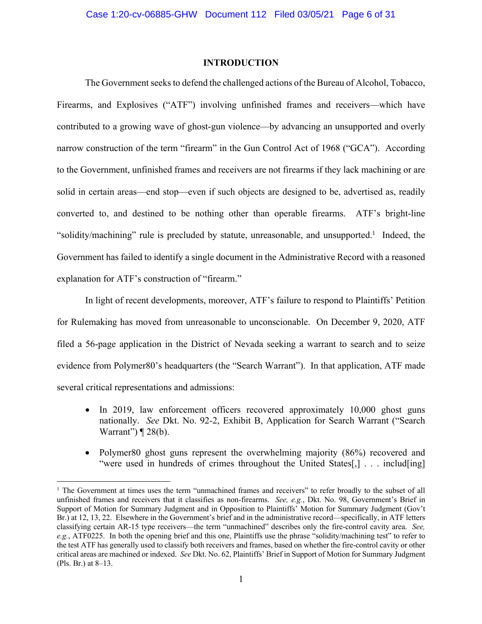### **INTRODUCTION**

The Government seeks to defend the challenged actions of the Bureau of Alcohol, Tobacco, Firearms, and Explosives ("ATF") involving unfinished frames and receivers—which have contributed to a growing wave of ghost-gun violence—by advancing an unsupported and overly narrow construction of the term "firearm" in the Gun Control Act of 1968 ("GCA"). According to the Government, unfinished frames and receivers are not firearms if they lack machining or are solid in certain areas—end stop—even if such objects are designed to be, advertised as, readily converted to, and destined to be nothing other than operable firearms. ATF's bright-line "solidity/machining" rule is precluded by statute, unreasonable, and unsupported.<sup>1</sup> Indeed, the Government has failed to identify a single document in the Administrative Record with a reasoned explanation for ATF's construction of "firearm."

In light of recent developments, moreover, ATF's failure to respond to Plaintiffs' Petition for Rulemaking has moved from unreasonable to unconscionable. On December 9, 2020, ATF filed a 56-page application in the District of Nevada seeking a warrant to search and to seize evidence from Polymer80's headquarters (the "Search Warrant"). In that application, ATF made several critical representations and admissions:

- In 2019, law enforcement officers recovered approximately 10,000 ghost guns nationally. *See* Dkt. No. 92-2, Exhibit B, Application for Search Warrant ("Search Warrant")  $\P$  28(b).
- Polymer80 ghost guns represent the overwhelming majority (86%) recovered and "were used in hundreds of crimes throughout the United States[,] . . . includ[ing]

<sup>&</sup>lt;sup>1</sup> The Government at times uses the term "unmachined frames and receivers" to refer broadly to the subset of all unfinished frames and receivers that it classifies as non-firearms. *See, e.g.*, Dkt. No. 98, Government's Brief in Support of Motion for Summary Judgment and in Opposition to Plaintiffs' Motion for Summary Judgment (Gov't Br.) at 12, 13, 22. Elsewhere in the Government's brief and in the administrative record—specifically, in ATF letters classifying certain AR-15 type receivers—the term "unmachined" describes only the fire-control cavity area. *See, e.g.*, ATF0225. In both the opening brief and this one, Plaintiffs use the phrase "solidity/machining test" to refer to the test ATF has generally used to classify both receivers and frames, based on whether the fire-control cavity or other critical areas are machined or indexed. *See* Dkt. No. 62, Plaintiffs' Brief in Support of Motion for Summary Judgment (Pls. Br.) at 8–13.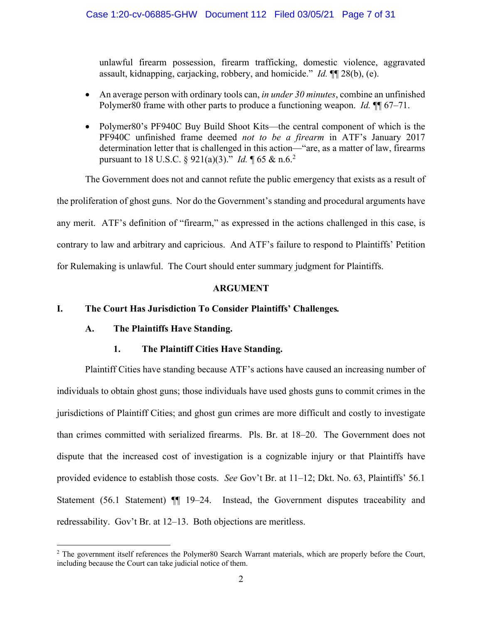unlawful firearm possession, firearm trafficking, domestic violence, aggravated assault, kidnapping, carjacking, robbery, and homicide." *Id.* ¶¶ 28(b), (e).

- An average person with ordinary tools can, *in under 30 minutes*, combine an unfinished Polymer80 frame with other parts to produce a functioning weapon. *Id.* ¶¶ 67–71.
- Polymer80's PF940C Buy Build Shoot Kits—the central component of which is the PF940C unfinished frame deemed *not to be a firearm* in ATF's January 2017 determination letter that is challenged in this action—"are, as a matter of law, firearms pursuant to 18 U.S.C. § 921(a)(3)." *Id.* ¶ 65 & n.6.<sup>2</sup>

The Government does not and cannot refute the public emergency that exists as a result of the proliferation of ghost guns. Nor do the Government's standing and procedural arguments have any merit. ATF's definition of "firearm," as expressed in the actions challenged in this case, is contrary to law and arbitrary and capricious. And ATF's failure to respond to Plaintiffs' Petition for Rulemaking is unlawful. The Court should enter summary judgment for Plaintiffs.

## **ARGUMENT**

## **I. The Court Has Jurisdiction To Consider Plaintiffs' Challenges***.*

## **A. The Plaintiffs Have Standing.**

## **1. The Plaintiff Cities Have Standing.**

Plaintiff Cities have standing because ATF's actions have caused an increasing number of individuals to obtain ghost guns; those individuals have used ghosts guns to commit crimes in the jurisdictions of Plaintiff Cities; and ghost gun crimes are more difficult and costly to investigate than crimes committed with serialized firearms. Pls. Br. at 18–20. The Government does not dispute that the increased cost of investigation is a cognizable injury or that Plaintiffs have provided evidence to establish those costs. *See* Gov't Br. at 11–12; Dkt. No. 63, Plaintiffs' 56.1 Statement (56.1 Statement)  $\P$  19–24. Instead, the Government disputes traceability and redressability. Gov't Br. at 12–13. Both objections are meritless.

<sup>&</sup>lt;sup>2</sup> The government itself references the Polymer80 Search Warrant materials, which are properly before the Court, including because the Court can take judicial notice of them.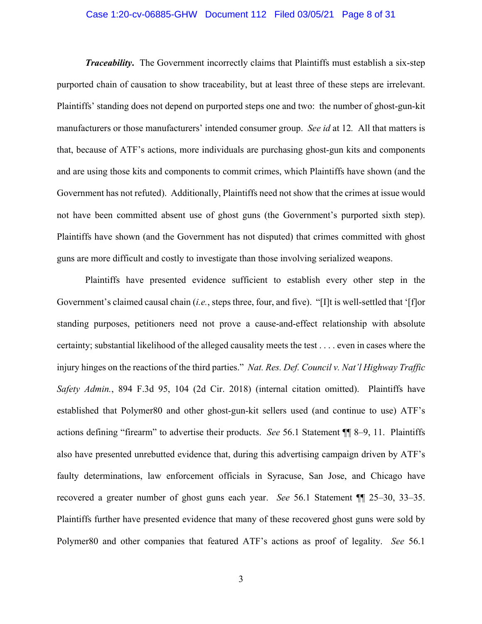#### Case 1:20-cv-06885-GHW Document 112 Filed 03/05/21 Page 8 of 31

*Traceability*. The Government incorrectly claims that Plaintiffs must establish a six-step purported chain of causation to show traceability, but at least three of these steps are irrelevant. Plaintiffs' standing does not depend on purported steps one and two: the number of ghost-gun-kit manufacturers or those manufacturers' intended consumer group. *See id* at 12*.* All that matters is that, because of ATF's actions, more individuals are purchasing ghost-gun kits and components and are using those kits and components to commit crimes, which Plaintiffs have shown (and the Government has not refuted). Additionally, Plaintiffs need not show that the crimes at issue would not have been committed absent use of ghost guns (the Government's purported sixth step). Plaintiffs have shown (and the Government has not disputed) that crimes committed with ghost guns are more difficult and costly to investigate than those involving serialized weapons.

Plaintiffs have presented evidence sufficient to establish every other step in the Government's claimed causal chain (*i.e.*, steps three, four, and five). "[I]t is well-settled that '[f]or standing purposes, petitioners need not prove a cause-and-effect relationship with absolute certainty; substantial likelihood of the alleged causality meets the test . . . . even in cases where the injury hinges on the reactions of the third parties." *Nat. Res. Def. Council v. Nat'l Highway Traffic Safety Admin.*, 894 F.3d 95, 104 (2d Cir. 2018) (internal citation omitted). Plaintiffs have established that Polymer80 and other ghost-gun-kit sellers used (and continue to use) ATF's actions defining "firearm" to advertise their products. *See* 56.1 Statement ¶¶ 8–9, 11. Plaintiffs also have presented unrebutted evidence that, during this advertising campaign driven by ATF's faulty determinations, law enforcement officials in Syracuse, San Jose, and Chicago have recovered a greater number of ghost guns each year. *See* 56.1 Statement ¶¶ 25–30, 33–35. Plaintiffs further have presented evidence that many of these recovered ghost guns were sold by Polymer80 and other companies that featured ATF's actions as proof of legality. *See* 56.1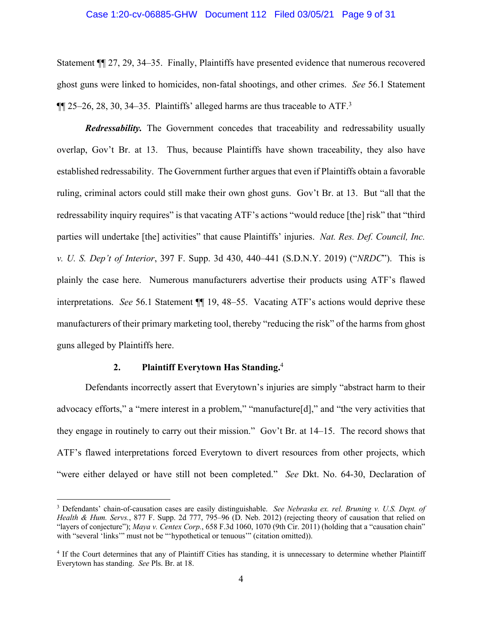#### Case 1:20-cv-06885-GHW Document 112 Filed 03/05/21 Page 9 of 31

Statement ¶¶ 27, 29, 34–35. Finally, Plaintiffs have presented evidence that numerous recovered ghost guns were linked to homicides, non-fatal shootings, and other crimes. *See* 56.1 Statement  $\P$ [[ 25–26, 28, 30, 34–35. Plaintiffs' alleged harms are thus traceable to ATF.<sup>3</sup>

*Redressability.* The Government concedes that traceability and redressability usually overlap, Gov't Br. at 13. Thus, because Plaintiffs have shown traceability, they also have established redressability. The Government further argues that even if Plaintiffs obtain a favorable ruling, criminal actors could still make their own ghost guns. Gov't Br. at 13. But "all that the redressability inquiry requires" is that vacating ATF's actions "would reduce [the] risk" that "third parties will undertake [the] activities" that cause Plaintiffs' injuries. *Nat. Res. Def. Council, Inc. v. U. S. Dep't of Interior*, 397 F. Supp. 3d 430, 440–441 (S.D.N.Y. 2019) ("*NRDC*"). This is plainly the case here. Numerous manufacturers advertise their products using ATF's flawed interpretations. *See* 56.1 Statement ¶¶ 19, 48–55. Vacating ATF's actions would deprive these manufacturers of their primary marketing tool, thereby "reducing the risk" of the harms from ghost guns alleged by Plaintiffs here.

#### **2. Plaintiff Everytown Has Standing.**<sup>4</sup>

Defendants incorrectly assert that Everytown's injuries are simply "abstract harm to their advocacy efforts," a "mere interest in a problem," "manufacture[d]," and "the very activities that they engage in routinely to carry out their mission." Gov't Br. at 14–15. The record shows that ATF's flawed interpretations forced Everytown to divert resources from other projects, which "were either delayed or have still not been completed." *See* Dkt. No. 64-30, Declaration of

<sup>3</sup> Defendants' chain-of-causation cases are easily distinguishable. *See Nebraska ex. rel. Bruning v. U.S. Dept. of Health & Hum. Servs.*, 877 F. Supp. 2d 777, 795–96 (D. Neb. 2012) (rejecting theory of causation that relied on "layers of conjecture"); *Maya v. Centex Corp.*, 658 F.3d 1060, 1070 (9th Cir. 2011) (holding that a "causation chain" with "several 'links'" must not be "'hypothetical or tenuous'" (citation omitted)).

<sup>4</sup> If the Court determines that any of Plaintiff Cities has standing, it is unnecessary to determine whether Plaintiff Everytown has standing. *See* Pls. Br. at 18.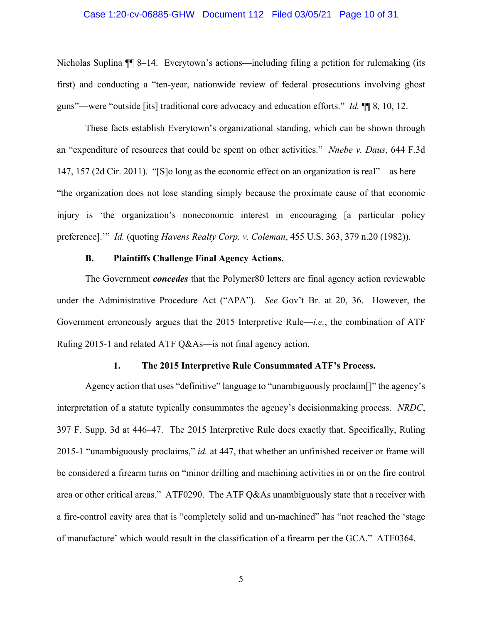#### Case 1:20-cv-06885-GHW Document 112 Filed 03/05/21 Page 10 of 31

Nicholas Suplina  $\P$  8–14. Everytown's actions—including filing a petition for rulemaking (its first) and conducting a "ten-year, nationwide review of federal prosecutions involving ghost guns"—were "outside [its] traditional core advocacy and education efforts." *Id.* ¶¶ 8, 10, 12.

These facts establish Everytown's organizational standing, which can be shown through an "expenditure of resources that could be spent on other activities." *Nnebe v. Daus*, 644 F.3d 147, 157 (2d Cir. 2011). "[S]o long as the economic effect on an organization is real"—as here— "the organization does not lose standing simply because the proximate cause of that economic injury is 'the organization's noneconomic interest in encouraging [a particular policy preference].'" *Id.* (quoting *Havens Realty Corp. v. Coleman*, 455 U.S. 363, 379 n.20 (1982)).

#### **B. Plaintiffs Challenge Final Agency Actions.**

The Government *concedes* that the Polymer80 letters are final agency action reviewable under the Administrative Procedure Act ("APA"). *See* Gov't Br. at 20, 36. However, the Government erroneously argues that the 2015 Interpretive Rule—*i.e.*, the combination of ATF Ruling 2015-1 and related ATF Q&As—is not final agency action.

### **1. The 2015 Interpretive Rule Consummated ATF's Process.**

Agency action that uses "definitive" language to "unambiguously proclaim[]" the agency's interpretation of a statute typically consummates the agency's decisionmaking process. *NRDC*, 397 F. Supp. 3d at 446–47. The 2015 Interpretive Rule does exactly that. Specifically, Ruling 2015-1 "unambiguously proclaims," *id.* at 447, that whether an unfinished receiver or frame will be considered a firearm turns on "minor drilling and machining activities in or on the fire control area or other critical areas." ATF0290. The ATF Q&As unambiguously state that a receiver with a fire-control cavity area that is "completely solid and un-machined" has "not reached the 'stage of manufacture' which would result in the classification of a firearm per the GCA." ATF0364.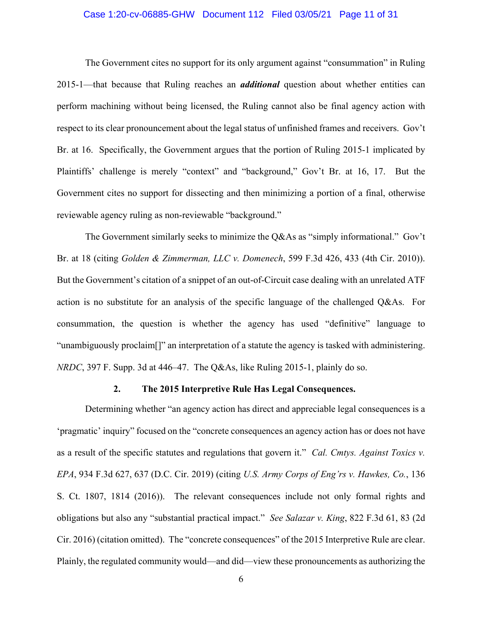#### Case 1:20-cv-06885-GHW Document 112 Filed 03/05/21 Page 11 of 31

The Government cites no support for its only argument against "consummation" in Ruling 2015-1—that because that Ruling reaches an *additional* question about whether entities can perform machining without being licensed, the Ruling cannot also be final agency action with respect to its clear pronouncement about the legal status of unfinished frames and receivers. Gov't Br. at 16. Specifically, the Government argues that the portion of Ruling 2015-1 implicated by Plaintiffs' challenge is merely "context" and "background," Gov't Br. at 16, 17. But the Government cites no support for dissecting and then minimizing a portion of a final, otherwise reviewable agency ruling as non-reviewable "background."

The Government similarly seeks to minimize the Q&As as "simply informational." Gov't Br. at 18 (citing *Golden & Zimmerman, LLC v. Domenech*, 599 F.3d 426, 433 (4th Cir. 2010)). But the Government's citation of a snippet of an out-of-Circuit case dealing with an unrelated ATF action is no substitute for an analysis of the specific language of the challenged Q&As. For consummation, the question is whether the agency has used "definitive" language to "unambiguously proclaim[]" an interpretation of a statute the agency is tasked with administering. *NRDC*, 397 F. Supp. 3d at 446–47. The Q&As, like Ruling 2015-1, plainly do so.

#### **2. The 2015 Interpretive Rule Has Legal Consequences.**

Determining whether "an agency action has direct and appreciable legal consequences is a 'pragmatic' inquiry" focused on the "concrete consequences an agency action has or does not have as a result of the specific statutes and regulations that govern it." *Cal. Cmtys. Against Toxics v. EPA*, 934 F.3d 627, 637 (D.C. Cir. 2019) (citing *U.S. Army Corps of Eng'rs v. Hawkes, Co.*, 136 S. Ct. 1807, 1814 (2016)). The relevant consequences include not only formal rights and obligations but also any "substantial practical impact." *See Salazar v. King*, 822 F.3d 61, 83 (2d Cir. 2016) (citation omitted). The "concrete consequences" of the 2015 Interpretive Rule are clear. Plainly, the regulated community would—and did—view these pronouncements as authorizing the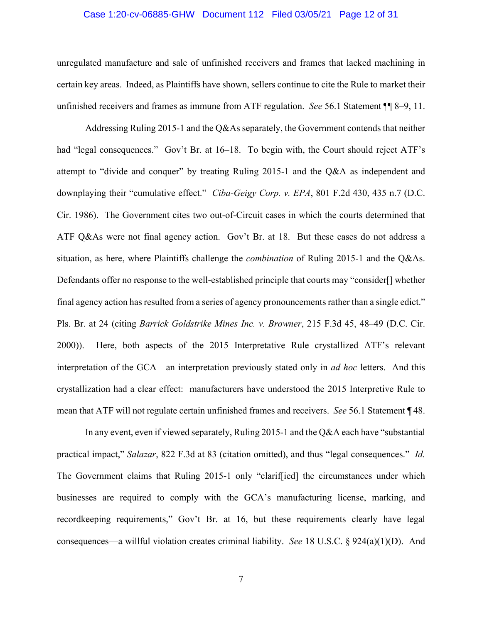#### Case 1:20-cv-06885-GHW Document 112 Filed 03/05/21 Page 12 of 31

unregulated manufacture and sale of unfinished receivers and frames that lacked machining in certain key areas. Indeed, as Plaintiffs have shown, sellers continue to cite the Rule to market their unfinished receivers and frames as immune from ATF regulation. *See* 56.1 Statement ¶¶ 8–9, 11.

Addressing Ruling 2015-1 and the Q&As separately, the Government contends that neither had "legal consequences." Gov't Br. at 16–18. To begin with, the Court should reject ATF's attempt to "divide and conquer" by treating Ruling 2015-1 and the Q&A as independent and downplaying their "cumulative effect." *Ciba-Geigy Corp. v. EPA*, 801 F.2d 430, 435 n.7 (D.C. Cir. 1986). The Government cites two out-of-Circuit cases in which the courts determined that ATF Q&As were not final agency action. Gov't Br. at 18. But these cases do not address a situation, as here, where Plaintiffs challenge the *combination* of Ruling 2015-1 and the Q&As. Defendants offer no response to the well-established principle that courts may "consider[] whether final agency action has resulted from a series of agency pronouncements rather than a single edict." Pls. Br. at 24 (citing *Barrick Goldstrike Mines Inc. v. Browner*, 215 F.3d 45, 48–49 (D.C. Cir. 2000)). Here, both aspects of the 2015 Interpretative Rule crystallized ATF's relevant interpretation of the GCA—an interpretation previously stated only in *ad hoc* letters. And this crystallization had a clear effect: manufacturers have understood the 2015 Interpretive Rule to mean that ATF will not regulate certain unfinished frames and receivers. *See* 56.1 Statement ¶ 48.

In any event, even if viewed separately, Ruling 2015-1 and the Q&A each have "substantial practical impact," *Salazar*, 822 F.3d at 83 (citation omitted), and thus "legal consequences." *Id.*  The Government claims that Ruling 2015-1 only "clarif[ied] the circumstances under which businesses are required to comply with the GCA's manufacturing license, marking, and recordkeeping requirements," Gov't Br. at 16, but these requirements clearly have legal consequences—a willful violation creates criminal liability. *See* 18 U.S.C. § 924(a)(1)(D). And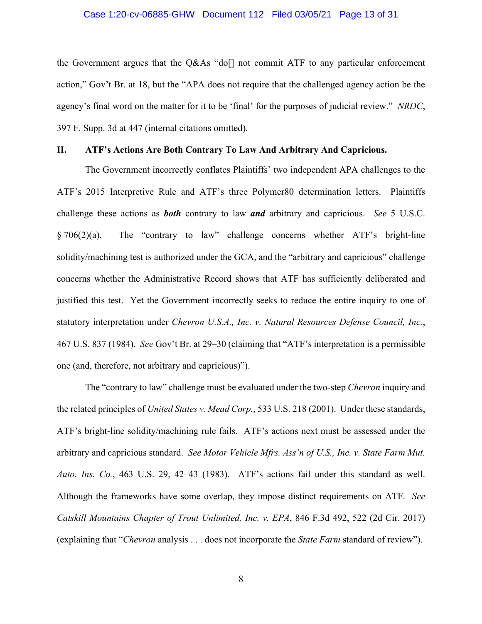#### Case 1:20-cv-06885-GHW Document 112 Filed 03/05/21 Page 13 of 31

the Government argues that the Q&As "do[] not commit ATF to any particular enforcement action," Gov't Br. at 18, but the "APA does not require that the challenged agency action be the agency's final word on the matter for it to be 'final' for the purposes of judicial review." *NRDC*, 397 F. Supp. 3d at 447 (internal citations omitted).

#### **II. ATF's Actions Are Both Contrary To Law And Arbitrary And Capricious.**

The Government incorrectly conflates Plaintiffs' two independent APA challenges to the ATF's 2015 Interpretive Rule and ATF's three Polymer80 determination letters. Plaintiffs challenge these actions as *both* contrary to law *and* arbitrary and capricious. *See* 5 U.S.C. § 706(2)(a). The "contrary to law" challenge concerns whether ATF's bright-line solidity/machining test is authorized under the GCA, and the "arbitrary and capricious" challenge concerns whether the Administrative Record shows that ATF has sufficiently deliberated and justified this test. Yet the Government incorrectly seeks to reduce the entire inquiry to one of statutory interpretation under *Chevron U.S.A., Inc. v. Natural Resources Defense Council, Inc.*, 467 U.S. 837 (1984). *See* Gov't Br. at 29–30 (claiming that "ATF's interpretation is a permissible one (and, therefore, not arbitrary and capricious)").

The "contrary to law" challenge must be evaluated under the two-step *Chevron* inquiry and the related principles of *United States v. Mead Corp.*, 533 U.S. 218 (2001). Under these standards, ATF's bright-line solidity/machining rule fails. ATF's actions next must be assessed under the arbitrary and capricious standard. *See Motor Vehicle Mfrs. Ass'n of U.S., Inc. v. State Farm Mut. Auto. Ins. Co.*, 463 U.S. 29, 42–43 (1983). ATF's actions fail under this standard as well. Although the frameworks have some overlap, they impose distinct requirements on ATF. *See Catskill Mountains Chapter of Trout Unlimited, Inc. v. EPA*, 846 F.3d 492, 522 (2d Cir. 2017) (explaining that "*Chevron* analysis . . . does not incorporate the *State Farm* standard of review").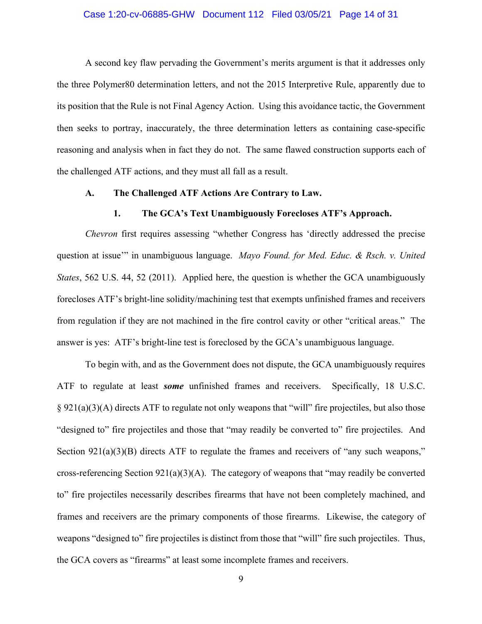#### Case 1:20-cv-06885-GHW Document 112 Filed 03/05/21 Page 14 of 31

A second key flaw pervading the Government's merits argument is that it addresses only the three Polymer80 determination letters, and not the 2015 Interpretive Rule, apparently due to its position that the Rule is not Final Agency Action. Using this avoidance tactic, the Government then seeks to portray, inaccurately, the three determination letters as containing case-specific reasoning and analysis when in fact they do not. The same flawed construction supports each of the challenged ATF actions, and they must all fall as a result.

#### **A. The Challenged ATF Actions Are Contrary to Law.**

#### **1. The GCA's Text Unambiguously Forecloses ATF's Approach.**

*Chevron* first requires assessing "whether Congress has 'directly addressed the precise question at issue'" in unambiguous language. *Mayo Found. for Med. Educ. & Rsch. v. United States*, 562 U.S. 44, 52 (2011). Applied here, the question is whether the GCA unambiguously forecloses ATF's bright-line solidity/machining test that exempts unfinished frames and receivers from regulation if they are not machined in the fire control cavity or other "critical areas." The answer is yes: ATF's bright-line test is foreclosed by the GCA's unambiguous language.

To begin with, and as the Government does not dispute, the GCA unambiguously requires ATF to regulate at least *some* unfinished frames and receivers. Specifically, 18 U.S.C. § 921(a)(3)(A) directs ATF to regulate not only weapons that "will" fire projectiles, but also those "designed to" fire projectiles and those that "may readily be converted to" fire projectiles. And Section  $921(a)(3)(B)$  directs ATF to regulate the frames and receivers of "any such weapons," cross-referencing Section 921(a)(3)(A). The category of weapons that "may readily be converted to" fire projectiles necessarily describes firearms that have not been completely machined, and frames and receivers are the primary components of those firearms. Likewise, the category of weapons "designed to" fire projectiles is distinct from those that "will" fire such projectiles. Thus, the GCA covers as "firearms" at least some incomplete frames and receivers.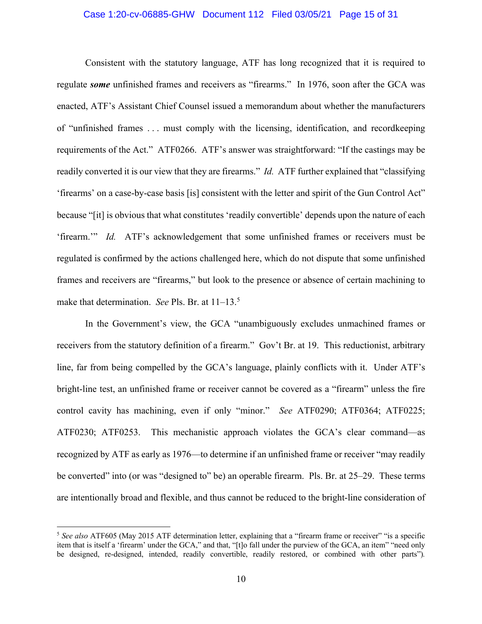#### Case 1:20-cv-06885-GHW Document 112 Filed 03/05/21 Page 15 of 31

Consistent with the statutory language, ATF has long recognized that it is required to regulate *some* unfinished frames and receivers as "firearms." In 1976, soon after the GCA was enacted, ATF's Assistant Chief Counsel issued a memorandum about whether the manufacturers of "unfinished frames . . . must comply with the licensing, identification, and recordkeeping requirements of the Act." ATF0266. ATF's answer was straightforward: "If the castings may be readily converted it is our view that they are firearms." *Id.* ATF further explained that "classifying 'firearms' on a case-by-case basis [is] consistent with the letter and spirit of the Gun Control Act" because "[it] is obvious that what constitutes 'readily convertible' depends upon the nature of each 'firearm.'" *Id.* ATF's acknowledgement that some unfinished frames or receivers must be regulated is confirmed by the actions challenged here, which do not dispute that some unfinished frames and receivers are "firearms," but look to the presence or absence of certain machining to make that determination. *See* Pls. Br. at 11–13.<sup>5</sup>

In the Government's view, the GCA "unambiguously excludes unmachined frames or receivers from the statutory definition of a firearm." Gov't Br. at 19. This reductionist, arbitrary line, far from being compelled by the GCA's language, plainly conflicts with it. Under ATF's bright-line test, an unfinished frame or receiver cannot be covered as a "firearm" unless the fire control cavity has machining, even if only "minor." *See* ATF0290; ATF0364; ATF0225; ATF0230; ATF0253. This mechanistic approach violates the GCA's clear command—as recognized by ATF as early as 1976—to determine if an unfinished frame or receiver "may readily be converted" into (or was "designed to" be) an operable firearm. Pls. Br. at 25–29. These terms are intentionally broad and flexible, and thus cannot be reduced to the bright-line consideration of

<sup>5</sup> *See also* ATF605 (May 2015 ATF determination letter, explaining that a "firearm frame or receiver" "is a specific item that is itself a 'firearm' under the GCA," and that, "[t]o fall under the purview of the GCA, an item" "need only be designed, re-designed, intended, readily convertible, readily restored, or combined with other parts")*.*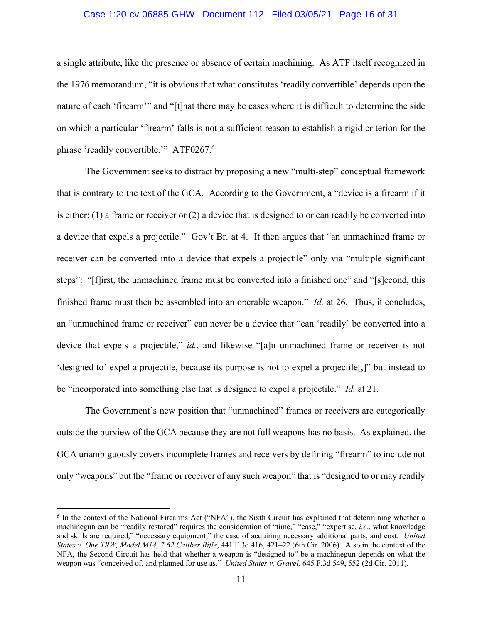#### Case 1:20-cv-06885-GHW Document 112 Filed 03/05/21 Page 16 of 31

a single attribute, like the presence or absence of certain machining. As ATF itself recognized in the 1976 memorandum, "it is obvious that what constitutes 'readily convertible' depends upon the nature of each 'firearm'" and "[t]hat there may be cases where it is difficult to determine the side on which a particular 'firearm' falls is not a sufficient reason to establish a rigid criterion for the phrase 'readily convertible.'" ATF0267.<sup>6</sup>

The Government seeks to distract by proposing a new "multi-step" conceptual framework that is contrary to the text of the GCA. According to the Government, a "device is a firearm if it is either: (1) a frame or receiver or (2) a device that is designed to or can readily be converted into a device that expels a projectile." Gov't Br. at 4. It then argues that "an unmachined frame or receiver can be converted into a device that expels a projectile" only via "multiple significant steps": "[f]irst, the unmachined frame must be converted into a finished one" and "[s]econd, this finished frame must then be assembled into an operable weapon." *Id.* at 26. Thus, it concludes, an "unmachined frame or receiver" can never be a device that "can 'readily' be converted into a device that expels a projectile," *id.*, and likewise "[a]n unmachined frame or receiver is not 'designed to' expel a projectile, because its purpose is not to expel a projectile[,]" but instead to be "incorporated into something else that is designed to expel a projectile." *Id.* at 21.

The Government's new position that "unmachined" frames or receivers are categorically outside the purview of the GCA because they are not full weapons has no basis. As explained, the GCA unambiguously covers incomplete frames and receivers by defining "firearm" to include not only "weapons" but the "frame or receiver of any such weapon" that is "designed to or may readily

 $6$  In the context of the National Firearms Act ("NFA"), the Sixth Circuit has explained that determining whether a machinegun can be "readily restored" requires the consideration of "time," "ease," "expertise, *i.e.*, what knowledge and skills are required," "necessary equipment," the ease of acquiring necessary additional parts, and cost. *United States v. One TRW, Model M14, 7.62 Caliber Rifle*, 441 F.3d 416, 421–22 (6th Cir. 2006). Also in the context of the NFA, the Second Circuit has held that whether a weapon is "designed to" be a machinegun depends on what the weapon was "conceived of, and planned for use as." *United States v. Gravel*, 645 F.3d 549, 552 (2d Cir. 2011).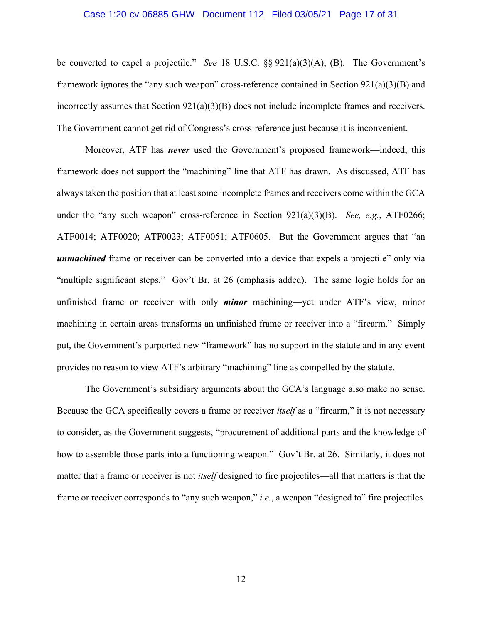#### Case 1:20-cv-06885-GHW Document 112 Filed 03/05/21 Page 17 of 31

be converted to expel a projectile." *See* 18 U.S.C. §§ 921(a)(3)(A), (B). The Government's framework ignores the "any such weapon" cross-reference contained in Section 921(a)(3)(B) and incorrectly assumes that Section  $921(a)(3)(B)$  does not include incomplete frames and receivers. The Government cannot get rid of Congress's cross-reference just because it is inconvenient.

Moreover, ATF has *never* used the Government's proposed framework—indeed, this framework does not support the "machining" line that ATF has drawn. As discussed, ATF has always taken the position that at least some incomplete frames and receivers come within the GCA under the "any such weapon" cross-reference in Section 921(a)(3)(B). *See, e.g.*, ATF0266; ATF0014; ATF0020; ATF0023; ATF0051; ATF0605. But the Government argues that "an *unmachined* frame or receiver can be converted into a device that expels a projectile" only via "multiple significant steps." Gov't Br. at 26 (emphasis added). The same logic holds for an unfinished frame or receiver with only *minor* machining—yet under ATF's view, minor machining in certain areas transforms an unfinished frame or receiver into a "firearm." Simply put, the Government's purported new "framework" has no support in the statute and in any event provides no reason to view ATF's arbitrary "machining" line as compelled by the statute.

The Government's subsidiary arguments about the GCA's language also make no sense. Because the GCA specifically covers a frame or receiver *itself* as a "firearm," it is not necessary to consider, as the Government suggests, "procurement of additional parts and the knowledge of how to assemble those parts into a functioning weapon." Gov't Br. at 26. Similarly, it does not matter that a frame or receiver is not *itself* designed to fire projectiles—all that matters is that the frame or receiver corresponds to "any such weapon," *i.e.*, a weapon "designed to" fire projectiles.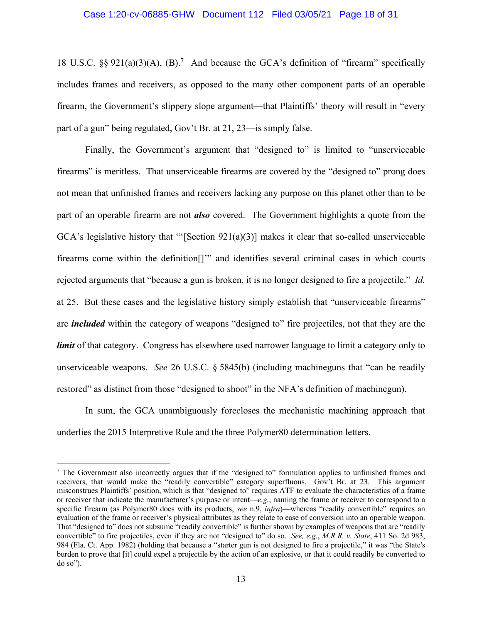#### Case 1:20-cv-06885-GHW Document 112 Filed 03/05/21 Page 18 of 31

18 U.S.C.  $\S$ § 921(a)(3)(A), (B).<sup>7</sup> And because the GCA's definition of "firearm" specifically includes frames and receivers, as opposed to the many other component parts of an operable firearm, the Government's slippery slope argument—that Plaintiffs' theory will result in "every part of a gun" being regulated, Gov't Br. at 21, 23—is simply false.

Finally, the Government's argument that "designed to" is limited to "unserviceable firearms" is meritless. That unserviceable firearms are covered by the "designed to" prong does not mean that unfinished frames and receivers lacking any purpose on this planet other than to be part of an operable firearm are not *also* covered. The Government highlights a quote from the  $GCA's$  legislative history that "'[Section  $921(a)(3)$ ] makes it clear that so-called unserviceable firearms come within the definition[]'" and identifies several criminal cases in which courts rejected arguments that "because a gun is broken, it is no longer designed to fire a projectile." *Id.* at 25. But these cases and the legislative history simply establish that "unserviceable firearms" are *included* within the category of weapons "designed to" fire projectiles, not that they are the *limit* of that category. Congress has elsewhere used narrower language to limit a category only to unserviceable weapons. *See* 26 U.S.C. § 5845(b) (including machineguns that "can be readily restored" as distinct from those "designed to shoot" in the NFA's definition of machinegun).

In sum, the GCA unambiguously forecloses the mechanistic machining approach that underlies the 2015 Interpretive Rule and the three Polymer80 determination letters.

<sup>7</sup> The Government also incorrectly argues that if the "designed to" formulation applies to unfinished frames and receivers, that would make the "readily convertible" category superfluous. Gov't Br. at 23. This argument misconstrues Plaintiffs' position, which is that "designed to" requires ATF to evaluate the characteristics of a frame or receiver that indicate the manufacturer's purpose or intent—*e.g.*, naming the frame or receiver to correspond to a specific firearm (as Polymer80 does with its products, *see* n.9, *infra*)—whereas "readily convertible" requires an evaluation of the frame or receiver's physical attributes as they relate to ease of conversion into an operable weapon. That "designed to" does not subsume "readily convertible" is further shown by examples of weapons that are "readily convertible" to fire projectiles, even if they are not "designed to" do so. *See, e.g.*, *M.R.R. v. State*, 411 So. 2d 983, 984 (Fla. Ct. App. 1982) (holding that because a "starter gun is not designed to fire a projectile," it was "the State's burden to prove that [it] could expel a projectile by the action of an explosive, or that it could readily be converted to do so").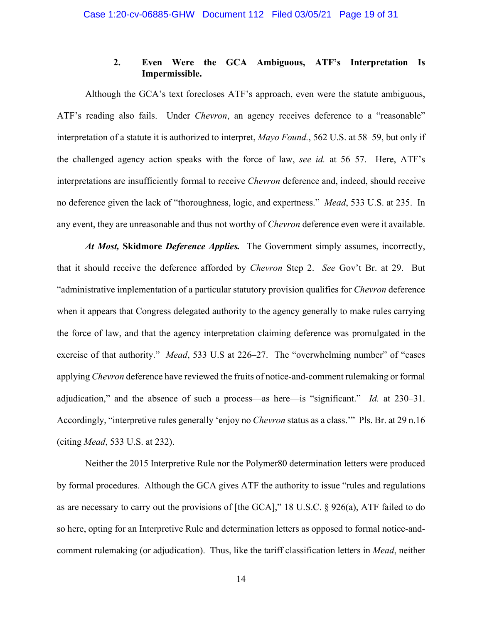## **2. Even Were the GCA Ambiguous, ATF's Interpretation Is Impermissible.**

Although the GCA's text forecloses ATF's approach, even were the statute ambiguous, ATF's reading also fails. Under *Chevron*, an agency receives deference to a "reasonable" interpretation of a statute it is authorized to interpret, *Mayo Found.*, 562 U.S. at 58–59, but only if the challenged agency action speaks with the force of law, *see id.* at 56–57. Here, ATF's interpretations are insufficiently formal to receive *Chevron* deference and, indeed, should receive no deference given the lack of "thoroughness, logic, and expertness." *Mead*, 533 U.S. at 235. In any event, they are unreasonable and thus not worthy of *Chevron* deference even were it available.

*At Most,* **Skidmore** *Deference Applies.* The Government simply assumes, incorrectly, that it should receive the deference afforded by *Chevron* Step 2. *See* Gov't Br. at 29. But "administrative implementation of a particular statutory provision qualifies for *Chevron* deference when it appears that Congress delegated authority to the agency generally to make rules carrying the force of law, and that the agency interpretation claiming deference was promulgated in the exercise of that authority." *Mead*, 533 U.S at 226–27. The "overwhelming number" of "cases applying *Chevron* deference have reviewed the fruits of notice-and-comment rulemaking or formal adjudication," and the absence of such a process—as here—is "significant." *Id.* at 230–31. Accordingly, "interpretive rules generally 'enjoy no *Chevron* status as a class.'" Pls. Br. at 29 n.16 (citing *Mead*, 533 U.S. at 232).

Neither the 2015 Interpretive Rule nor the Polymer80 determination letters were produced by formal procedures. Although the GCA gives ATF the authority to issue "rules and regulations as are necessary to carry out the provisions of [the GCA]," 18 U.S.C. § 926(a), ATF failed to do so here, opting for an Interpretive Rule and determination letters as opposed to formal notice-andcomment rulemaking (or adjudication). Thus, like the tariff classification letters in *Mead*, neither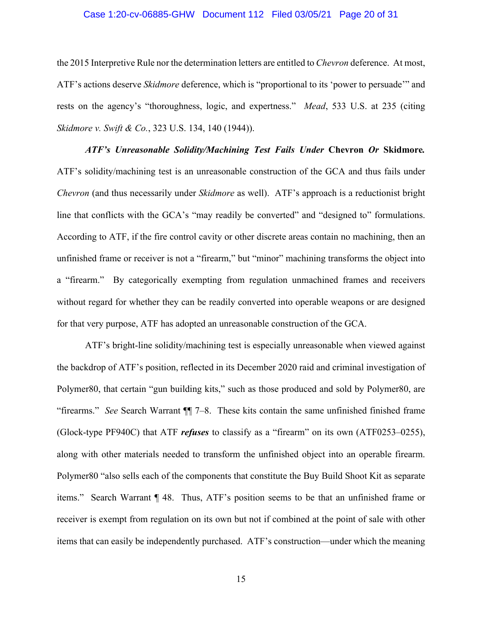#### Case 1:20-cv-06885-GHW Document 112 Filed 03/05/21 Page 20 of 31

the 2015 Interpretive Rule nor the determination letters are entitled to *Chevron* deference. At most, ATF's actions deserve *Skidmore* deference, which is "proportional to its 'power to persuade'" and rests on the agency's "thoroughness, logic, and expertness." *Mead*, 533 U.S. at 235 (citing *Skidmore v. Swift & Co.*, 323 U.S. 134, 140 (1944)).

*ATF's Unreasonable Solidity/Machining Test Fails Under* **Chevron** *Or* **Skidmore***.*  ATF's solidity/machining test is an unreasonable construction of the GCA and thus fails under *Chevron* (and thus necessarily under *Skidmore* as well). ATF's approach is a reductionist bright line that conflicts with the GCA's "may readily be converted" and "designed to" formulations. According to ATF, if the fire control cavity or other discrete areas contain no machining, then an unfinished frame or receiver is not a "firearm," but "minor" machining transforms the object into a "firearm." By categorically exempting from regulation unmachined frames and receivers without regard for whether they can be readily converted into operable weapons or are designed for that very purpose, ATF has adopted an unreasonable construction of the GCA.

ATF's bright-line solidity/machining test is especially unreasonable when viewed against the backdrop of ATF's position, reflected in its December 2020 raid and criminal investigation of Polymer80, that certain "gun building kits," such as those produced and sold by Polymer80, are "firearms." *See* Search Warrant ¶¶ 7–8. These kits contain the same unfinished finished frame (Glock-type PF940C) that ATF *refuses* to classify as a "firearm" on its own (ATF0253–0255), along with other materials needed to transform the unfinished object into an operable firearm. Polymer80 "also sells each of the components that constitute the Buy Build Shoot Kit as separate items." Search Warrant ¶ 48. Thus, ATF's position seems to be that an unfinished frame or receiver is exempt from regulation on its own but not if combined at the point of sale with other items that can easily be independently purchased. ATF's construction—under which the meaning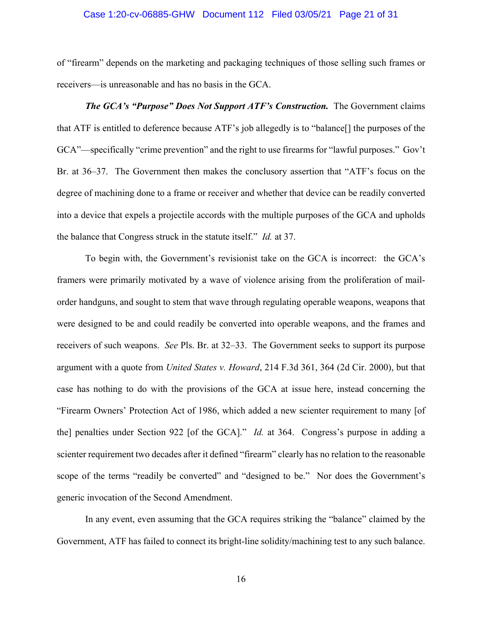#### Case 1:20-cv-06885-GHW Document 112 Filed 03/05/21 Page 21 of 31

of "firearm" depends on the marketing and packaging techniques of those selling such frames or receivers—is unreasonable and has no basis in the GCA.

*The GCA's "Purpose" Does Not Support ATF's Construction.* The Government claims that ATF is entitled to deference because ATF's job allegedly is to "balance[] the purposes of the GCA"—specifically "crime prevention" and the right to use firearms for "lawful purposes." Gov't Br. at 36–37. The Government then makes the conclusory assertion that "ATF's focus on the degree of machining done to a frame or receiver and whether that device can be readily converted into a device that expels a projectile accords with the multiple purposes of the GCA and upholds the balance that Congress struck in the statute itself." *Id.* at 37.

To begin with, the Government's revisionist take on the GCA is incorrect: the GCA's framers were primarily motivated by a wave of violence arising from the proliferation of mailorder handguns, and sought to stem that wave through regulating operable weapons, weapons that were designed to be and could readily be converted into operable weapons, and the frames and receivers of such weapons. *See* Pls. Br. at 32–33. The Government seeks to support its purpose argument with a quote from *United States v. Howard*, 214 F.3d 361, 364 (2d Cir. 2000), but that case has nothing to do with the provisions of the GCA at issue here, instead concerning the "Firearm Owners' Protection Act of 1986, which added a new scienter requirement to many [of the] penalties under Section 922 [of the GCA]." *Id.* at 364. Congress's purpose in adding a scienter requirement two decades after it defined "firearm" clearly has no relation to the reasonable scope of the terms "readily be converted" and "designed to be." Nor does the Government's generic invocation of the Second Amendment.

In any event, even assuming that the GCA requires striking the "balance" claimed by the Government, ATF has failed to connect its bright-line solidity/machining test to any such balance.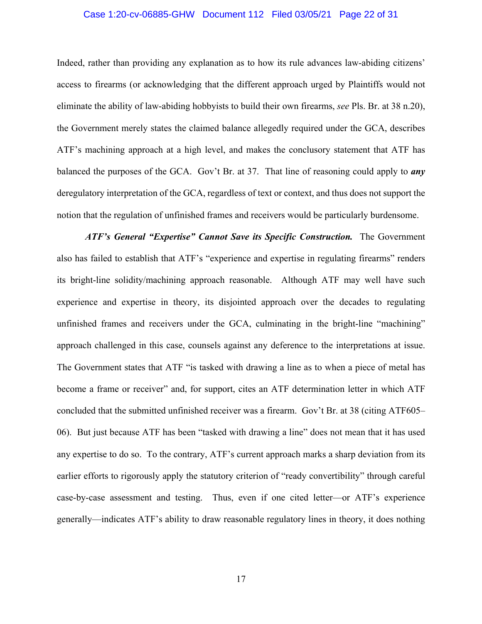#### Case 1:20-cv-06885-GHW Document 112 Filed 03/05/21 Page 22 of 31

Indeed, rather than providing any explanation as to how its rule advances law-abiding citizens' access to firearms (or acknowledging that the different approach urged by Plaintiffs would not eliminate the ability of law-abiding hobbyists to build their own firearms, *see* Pls. Br. at 38 n.20), the Government merely states the claimed balance allegedly required under the GCA, describes ATF's machining approach at a high level, and makes the conclusory statement that ATF has balanced the purposes of the GCA. Gov't Br. at 37. That line of reasoning could apply to *any* deregulatory interpretation of the GCA, regardless of text or context, and thus does not support the notion that the regulation of unfinished frames and receivers would be particularly burdensome.

*ATF's General "Expertise" Cannot Save its Specific Construction.* The Government also has failed to establish that ATF's "experience and expertise in regulating firearms" renders its bright-line solidity/machining approach reasonable. Although ATF may well have such experience and expertise in theory, its disjointed approach over the decades to regulating unfinished frames and receivers under the GCA, culminating in the bright-line "machining" approach challenged in this case, counsels against any deference to the interpretations at issue. The Government states that ATF "is tasked with drawing a line as to when a piece of metal has become a frame or receiver" and, for support, cites an ATF determination letter in which ATF concluded that the submitted unfinished receiver was a firearm. Gov't Br. at 38 (citing ATF605– 06). But just because ATF has been "tasked with drawing a line" does not mean that it has used any expertise to do so. To the contrary, ATF's current approach marks a sharp deviation from its earlier efforts to rigorously apply the statutory criterion of "ready convertibility" through careful case-by-case assessment and testing. Thus, even if one cited letter—or ATF's experience generally—indicates ATF's ability to draw reasonable regulatory lines in theory, it does nothing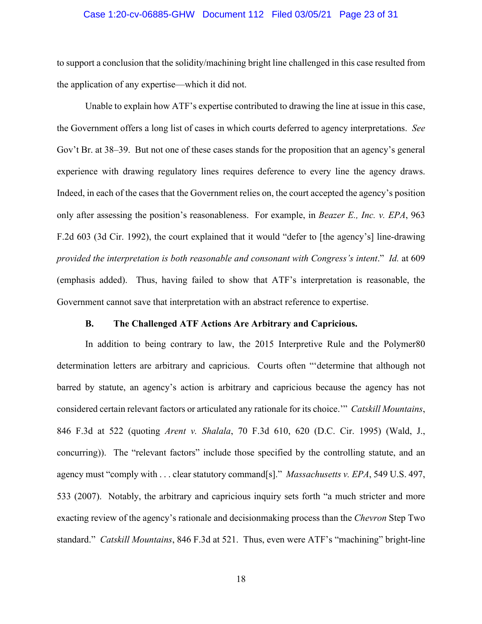#### Case 1:20-cv-06885-GHW Document 112 Filed 03/05/21 Page 23 of 31

to support a conclusion that the solidity/machining bright line challenged in this case resulted from the application of any expertise—which it did not.

Unable to explain how ATF's expertise contributed to drawing the line at issue in this case, the Government offers a long list of cases in which courts deferred to agency interpretations. *See*  Gov't Br. at 38–39. But not one of these cases stands for the proposition that an agency's general experience with drawing regulatory lines requires deference to every line the agency draws. Indeed, in each of the cases that the Government relies on, the court accepted the agency's position only after assessing the position's reasonableness. For example, in *Beazer E., Inc. v. EPA*, 963 F.2d 603 (3d Cir. 1992), the court explained that it would "defer to [the agency's] line-drawing *provided the interpretation is both reasonable and consonant with Congress's intent*." *Id.* at 609 (emphasis added). Thus, having failed to show that ATF's interpretation is reasonable, the Government cannot save that interpretation with an abstract reference to expertise.

#### **B. The Challenged ATF Actions Are Arbitrary and Capricious.**

In addition to being contrary to law, the 2015 Interpretive Rule and the Polymer80 determination letters are arbitrary and capricious. Courts often "'determine that although not barred by statute, an agency's action is arbitrary and capricious because the agency has not considered certain relevant factors or articulated any rationale for its choice.'" *Catskill Mountains*, 846 F.3d at 522 (quoting *Arent v. Shalala*, 70 F.3d 610, 620 (D.C. Cir. 1995) (Wald, J., concurring)). The "relevant factors" include those specified by the controlling statute, and an agency must "comply with . . . clear statutory command[s]." *Massachusetts v. EPA*, 549 U.S. 497, 533 (2007). Notably, the arbitrary and capricious inquiry sets forth "a much stricter and more exacting review of the agency's rationale and decisionmaking process than the *Chevron* Step Two standard." *Catskill Mountains*, 846 F.3d at 521. Thus, even were ATF's "machining" bright-line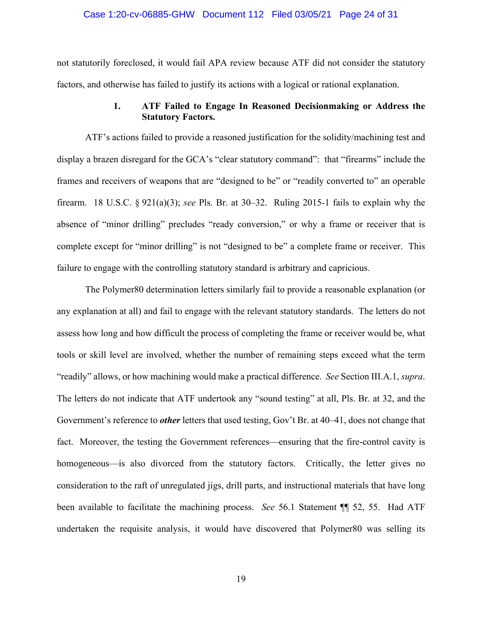#### Case 1:20-cv-06885-GHW Document 112 Filed 03/05/21 Page 24 of 31

not statutorily foreclosed, it would fail APA review because ATF did not consider the statutory factors, and otherwise has failed to justify its actions with a logical or rational explanation.

#### **1. ATF Failed to Engage In Reasoned Decisionmaking or Address the Statutory Factors.**

ATF's actions failed to provide a reasoned justification for the solidity/machining test and display a brazen disregard for the GCA's "clear statutory command": that "firearms" include the frames and receivers of weapons that are "designed to be" or "readily converted to" an operable firearm. 18 U.S.C. § 921(a)(3); *see* Pls. Br. at 30–32. Ruling 2015-1 fails to explain why the absence of "minor drilling" precludes "ready conversion," or why a frame or receiver that is complete except for "minor drilling" is not "designed to be" a complete frame or receiver. This failure to engage with the controlling statutory standard is arbitrary and capricious.

The Polymer80 determination letters similarly fail to provide a reasonable explanation (or any explanation at all) and fail to engage with the relevant statutory standards. The letters do not assess how long and how difficult the process of completing the frame or receiver would be, what tools or skill level are involved, whether the number of remaining steps exceed what the term "readily" allows, or how machining would make a practical difference. *See* Section III.A.1, *supra*. The letters do not indicate that ATF undertook any "sound testing" at all, Pls. Br. at 32, and the Government's reference to *other* letters that used testing, Gov't Br. at 40–41, does not change that fact. Moreover, the testing the Government references—ensuring that the fire-control cavity is homogeneous—is also divorced from the statutory factors. Critically, the letter gives no consideration to the raft of unregulated jigs, drill parts, and instructional materials that have long been available to facilitate the machining process. *See* 56.1 Statement ¶¶ 52, 55. Had ATF undertaken the requisite analysis, it would have discovered that Polymer80 was selling its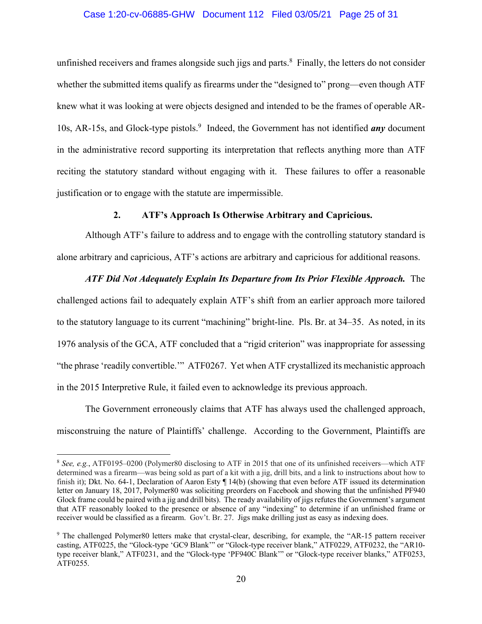#### Case 1:20-cv-06885-GHW Document 112 Filed 03/05/21 Page 25 of 31

unfinished receivers and frames alongside such jigs and parts.<sup>8</sup> Finally, the letters do not consider whether the submitted items qualify as firearms under the "designed to" prong—even though ATF knew what it was looking at were objects designed and intended to be the frames of operable AR-10s, AR-15s, and Glock-type pistols.<sup>9</sup> Indeed, the Government has not identified *any* document in the administrative record supporting its interpretation that reflects anything more than ATF reciting the statutory standard without engaging with it. These failures to offer a reasonable justification or to engage with the statute are impermissible.

#### **2. ATF's Approach Is Otherwise Arbitrary and Capricious.**

Although ATF's failure to address and to engage with the controlling statutory standard is alone arbitrary and capricious, ATF's actions are arbitrary and capricious for additional reasons.

#### *ATF Did Not Adequately Explain Its Departure from Its Prior Flexible Approach.* The

challenged actions fail to adequately explain ATF's shift from an earlier approach more tailored to the statutory language to its current "machining" bright-line. Pls. Br. at 34–35. As noted, in its 1976 analysis of the GCA, ATF concluded that a "rigid criterion" was inappropriate for assessing "the phrase 'readily convertible.'" ATF0267. Yet when ATF crystallized its mechanistic approach in the 2015 Interpretive Rule, it failed even to acknowledge its previous approach.

The Government erroneously claims that ATF has always used the challenged approach, misconstruing the nature of Plaintiffs' challenge. According to the Government, Plaintiffs are

<sup>8</sup> *See, e.g.*, ATF0195–0200 (Polymer80 disclosing to ATF in 2015 that one of its unfinished receivers—which ATF determined was a firearm—was being sold as part of a kit with a jig, drill bits, and a link to instructions about how to finish it); Dkt. No. 64-1, Declaration of Aaron Esty ¶ 14(b) (showing that even before ATF issued its determination letter on January 18, 2017, Polymer80 was soliciting preorders on Facebook and showing that the unfinished PF940 Glock frame could be paired with a jig and drill bits). The ready availability of jigs refutes the Government's argument that ATF reasonably looked to the presence or absence of any "indexing" to determine if an unfinished frame or receiver would be classified as a firearm. Gov't. Br. 27. Jigs make drilling just as easy as indexing does.

<sup>9</sup> The challenged Polymer80 letters make that crystal-clear, describing, for example, the "AR-15 pattern receiver casting, ATF0225, the "Glock-type 'GC9 Blank'" or "Glock-type receiver blank," ATF0229, ATF0232, the "AR10 type receiver blank," ATF0231, and the "Glock-type 'PF940C Blank'" or "Glock-type receiver blanks," ATF0253, ATF0255.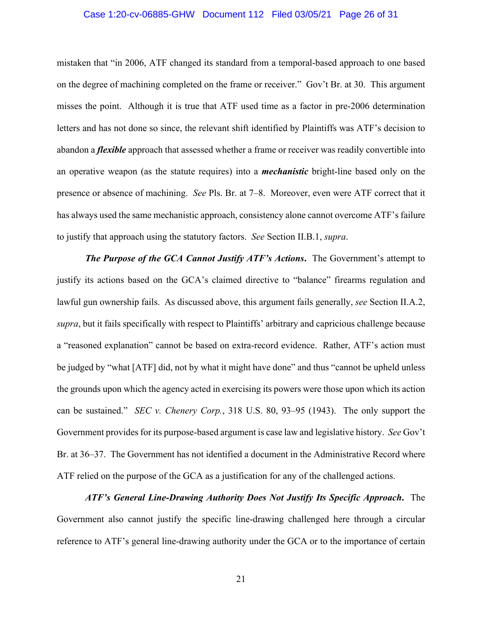#### Case 1:20-cv-06885-GHW Document 112 Filed 03/05/21 Page 26 of 31

mistaken that "in 2006, ATF changed its standard from a temporal-based approach to one based on the degree of machining completed on the frame or receiver." Gov't Br. at 30. This argument misses the point. Although it is true that ATF used time as a factor in pre-2006 determination letters and has not done so since, the relevant shift identified by Plaintiffs was ATF's decision to abandon a *flexible* approach that assessed whether a frame or receiver was readily convertible into an operative weapon (as the statute requires) into a *mechanistic* bright-line based only on the presence or absence of machining. *See* Pls. Br. at 7–8. Moreover, even were ATF correct that it has always used the same mechanistic approach, consistency alone cannot overcome ATF's failure to justify that approach using the statutory factors. *See* Section II.B.1, *supra*.

*The Purpose of the GCA Cannot Justify ATF's Actions***.** The Government's attempt to justify its actions based on the GCA's claimed directive to "balance" firearms regulation and lawful gun ownership fails. As discussed above, this argument fails generally, *see* Section II.A.2, *supra*, but it fails specifically with respect to Plaintiffs' arbitrary and capricious challenge because a "reasoned explanation" cannot be based on extra-record evidence. Rather, ATF's action must be judged by "what [ATF] did, not by what it might have done" and thus "cannot be upheld unless the grounds upon which the agency acted in exercising its powers were those upon which its action can be sustained." *SEC v. Chenery Corp.*, 318 U.S. 80, 93–95 (1943). The only support the Government provides for its purpose-based argument is case law and legislative history. *See* Gov't Br. at 36–37. The Government has not identified a document in the Administrative Record where ATF relied on the purpose of the GCA as a justification for any of the challenged actions.

*ATF's General Line-Drawing Authority Does Not Justify Its Specific Approach***.** The Government also cannot justify the specific line-drawing challenged here through a circular reference to ATF's general line-drawing authority under the GCA or to the importance of certain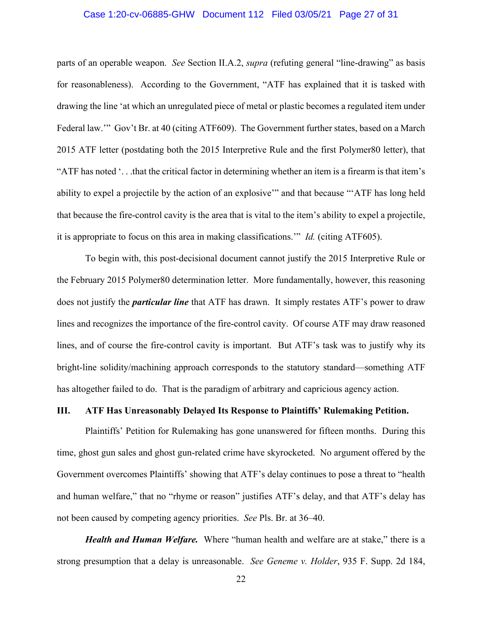#### Case 1:20-cv-06885-GHW Document 112 Filed 03/05/21 Page 27 of 31

parts of an operable weapon. *See* Section II.A.2, *supra* (refuting general "line-drawing" as basis for reasonableness). According to the Government, "ATF has explained that it is tasked with drawing the line 'at which an unregulated piece of metal or plastic becomes a regulated item under Federal law.'" Gov't Br. at 40 (citing ATF609). The Government further states, based on a March 2015 ATF letter (postdating both the 2015 Interpretive Rule and the first Polymer80 letter), that "ATF has noted '. . .that the critical factor in determining whether an item is a firearm is that item's ability to expel a projectile by the action of an explosive'" and that because "'ATF has long held that because the fire-control cavity is the area that is vital to the item's ability to expel a projectile, it is appropriate to focus on this area in making classifications.'" *Id.* (citing ATF605).

To begin with, this post-decisional document cannot justify the 2015 Interpretive Rule or the February 2015 Polymer80 determination letter. More fundamentally, however, this reasoning does not justify the *particular line* that ATF has drawn. It simply restates ATF's power to draw lines and recognizes the importance of the fire-control cavity. Of course ATF may draw reasoned lines, and of course the fire-control cavity is important. But ATF's task was to justify why its bright-line solidity/machining approach corresponds to the statutory standard—something ATF has altogether failed to do. That is the paradigm of arbitrary and capricious agency action.

#### **III. ATF Has Unreasonably Delayed Its Response to Plaintiffs' Rulemaking Petition.**

Plaintiffs' Petition for Rulemaking has gone unanswered for fifteen months. During this time, ghost gun sales and ghost gun-related crime have skyrocketed. No argument offered by the Government overcomes Plaintiffs' showing that ATF's delay continues to pose a threat to "health and human welfare," that no "rhyme or reason" justifies ATF's delay, and that ATF's delay has not been caused by competing agency priorities. *See* Pls. Br. at 36–40.

*Health and Human Welfare.*Where "human health and welfare are at stake," there is a strong presumption that a delay is unreasonable. *See Geneme v. Holder*, 935 F. Supp. 2d 184,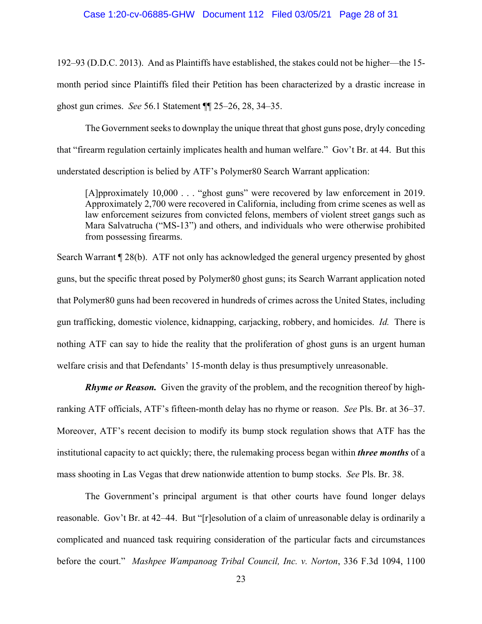192–93 (D.D.C. 2013). And as Plaintiffs have established, the stakes could not be higher—the 15 month period since Plaintiffs filed their Petition has been characterized by a drastic increase in ghost gun crimes. *See* 56.1 Statement ¶¶ 25–26, 28, 34–35.

The Government seeks to downplay the unique threat that ghost guns pose, dryly conceding that "firearm regulation certainly implicates health and human welfare." Gov't Br. at 44. But this understated description is belied by ATF's Polymer80 Search Warrant application:

[A]pproximately 10,000 . . . "ghost guns" were recovered by law enforcement in 2019. Approximately 2,700 were recovered in California, including from crime scenes as well as law enforcement seizures from convicted felons, members of violent street gangs such as Mara Salvatrucha ("MS-13") and others, and individuals who were otherwise prohibited from possessing firearms.

Search Warrant ¶ 28(b). ATF not only has acknowledged the general urgency presented by ghost guns, but the specific threat posed by Polymer80 ghost guns; its Search Warrant application noted that Polymer80 guns had been recovered in hundreds of crimes across the United States, including gun trafficking, domestic violence, kidnapping, carjacking, robbery, and homicides. *Id.* There is nothing ATF can say to hide the reality that the proliferation of ghost guns is an urgent human welfare crisis and that Defendants' 15-month delay is thus presumptively unreasonable.

*Rhyme or Reason.* Given the gravity of the problem, and the recognition thereof by highranking ATF officials, ATF's fifteen-month delay has no rhyme or reason. *See* Pls. Br. at 36–37. Moreover, ATF's recent decision to modify its bump stock regulation shows that ATF has the institutional capacity to act quickly; there, the rulemaking process began within *three months* of a mass shooting in Las Vegas that drew nationwide attention to bump stocks. *See* Pls. Br. 38.

The Government's principal argument is that other courts have found longer delays reasonable. Gov't Br. at 42–44. But "[r]esolution of a claim of unreasonable delay is ordinarily a complicated and nuanced task requiring consideration of the particular facts and circumstances before the court." *Mashpee Wampanoag Tribal Council, Inc. v. Norton*, 336 F.3d 1094, 1100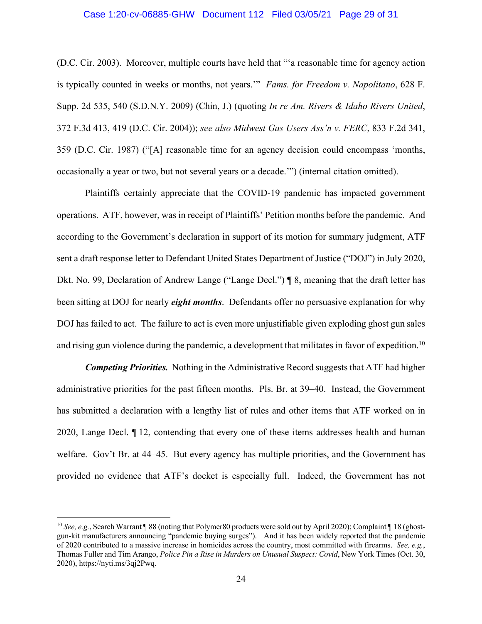#### Case 1:20-cv-06885-GHW Document 112 Filed 03/05/21 Page 29 of 31

(D.C. Cir. 2003). Moreover, multiple courts have held that "'a reasonable time for agency action is typically counted in weeks or months, not years.'" *Fams. for Freedom v. Napolitano*, 628 F. Supp. 2d 535, 540 (S.D.N.Y. 2009) (Chin, J.) (quoting *In re Am. Rivers & Idaho Rivers United*, 372 F.3d 413, 419 (D.C. Cir. 2004)); *see also Midwest Gas Users Ass'n v. FERC*, 833 F.2d 341, 359 (D.C. Cir. 1987) ("[A] reasonable time for an agency decision could encompass 'months, occasionally a year or two, but not several years or a decade.'") (internal citation omitted).

Plaintiffs certainly appreciate that the COVID-19 pandemic has impacted government operations. ATF, however, was in receipt of Plaintiffs' Petition months before the pandemic. And according to the Government's declaration in support of its motion for summary judgment, ATF sent a draft response letter to Defendant United States Department of Justice ("DOJ") in July 2020, Dkt. No. 99, Declaration of Andrew Lange ("Lange Decl.") ¶ 8, meaning that the draft letter has been sitting at DOJ for nearly *eight months*. Defendants offer no persuasive explanation for why DOJ has failed to act. The failure to act is even more unjustifiable given exploding ghost gun sales and rising gun violence during the pandemic, a development that militates in favor of expedition.<sup>10</sup>

*Competing Priorities.*Nothing in the Administrative Record suggests that ATF had higher administrative priorities for the past fifteen months. Pls. Br. at 39–40. Instead, the Government has submitted a declaration with a lengthy list of rules and other items that ATF worked on in 2020, Lange Decl. ¶ 12, contending that every one of these items addresses health and human welfare. Gov't Br. at 44–45. But every agency has multiple priorities, and the Government has provided no evidence that ATF's docket is especially full. Indeed, the Government has not

<sup>&</sup>lt;sup>10</sup> *See, e.g.*, Search Warrant ¶ 88 (noting that Polymer80 products were sold out by April 2020); Complaint ¶ 18 (ghostgun-kit manufacturers announcing "pandemic buying surges"). And it has been widely reported that the pandemic of 2020 contributed to a massive increase in homicides across the country, most committed with firearms. *See, e.g.*, Thomas Fuller and Tim Arango, *Police Pin a Rise in Murders on Unusual Suspect: Covid*, New York Times (Oct. 30, 2020), https://nyti.ms/3qj2Pwq.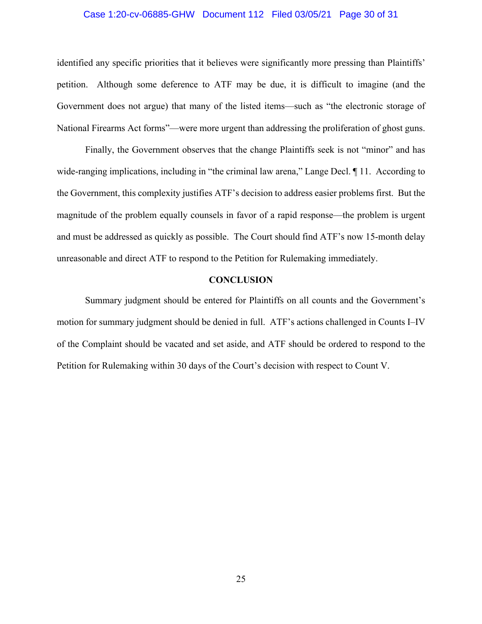#### Case 1:20-cv-06885-GHW Document 112 Filed 03/05/21 Page 30 of 31

identified any specific priorities that it believes were significantly more pressing than Plaintiffs' petition. Although some deference to ATF may be due, it is difficult to imagine (and the Government does not argue) that many of the listed items—such as "the electronic storage of National Firearms Act forms"—were more urgent than addressing the proliferation of ghost guns.

Finally, the Government observes that the change Plaintiffs seek is not "minor" and has wide-ranging implications, including in "the criminal law arena," Lange Decl.  $\P$  11. According to the Government, this complexity justifies ATF's decision to address easier problems first. But the magnitude of the problem equally counsels in favor of a rapid response—the problem is urgent and must be addressed as quickly as possible. The Court should find ATF's now 15-month delay unreasonable and direct ATF to respond to the Petition for Rulemaking immediately.

#### **CONCLUSION**

Summary judgment should be entered for Plaintiffs on all counts and the Government's motion for summary judgment should be denied in full. ATF's actions challenged in Counts I–IV of the Complaint should be vacated and set aside, and ATF should be ordered to respond to the Petition for Rulemaking within 30 days of the Court's decision with respect to Count V.